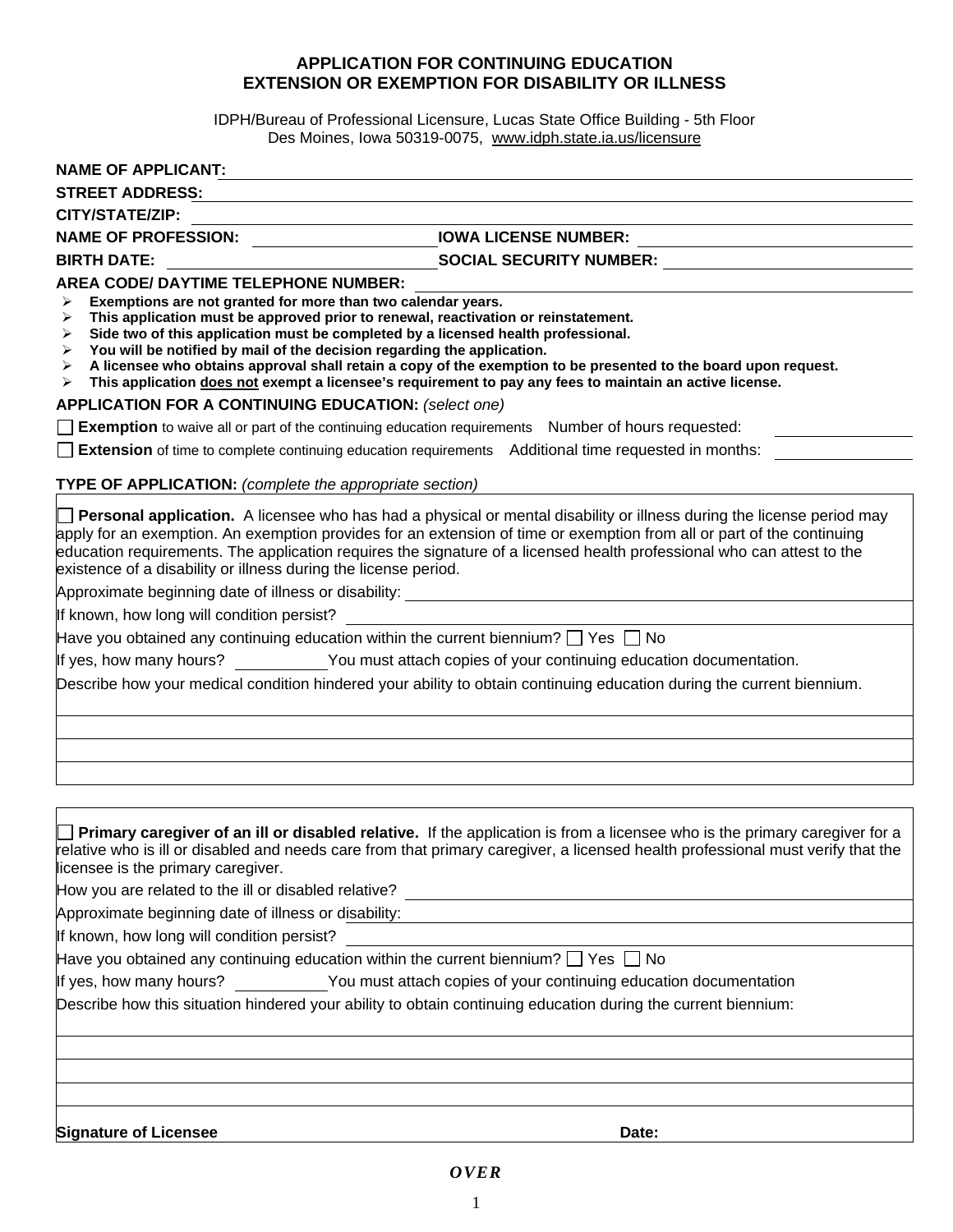## **APPLICATION FOR CONTINUING EDUCATION EXTENSION OR EXEMPTION FOR DISABILITY OR ILLNESS**

IDPH/Bureau of Professional Licensure, Lucas State Office Building - 5th Floor Des Moines, Iowa 50319-0075, www.idph.state.ia.us/licensure

| NAME OF APPLICANT:                                                                                                                                                                                                                                                                                                                                                                       |                                                                                                                                                                                                                                                                                                                                                                           |
|------------------------------------------------------------------------------------------------------------------------------------------------------------------------------------------------------------------------------------------------------------------------------------------------------------------------------------------------------------------------------------------|---------------------------------------------------------------------------------------------------------------------------------------------------------------------------------------------------------------------------------------------------------------------------------------------------------------------------------------------------------------------------|
| <b>STREET ADDRESS:</b>                                                                                                                                                                                                                                                                                                                                                                   |                                                                                                                                                                                                                                                                                                                                                                           |
| <b>CITY/STATE/ZIP:</b>                                                                                                                                                                                                                                                                                                                                                                   |                                                                                                                                                                                                                                                                                                                                                                           |
| NAME OF PROFESSION: LOWA LICENSE NUMBER:                                                                                                                                                                                                                                                                                                                                                 |                                                                                                                                                                                                                                                                                                                                                                           |
| <b>BIRTH DATE:</b>                                                                                                                                                                                                                                                                                                                                                                       | SOCIAL SECURITY NUMBER: SOCIAL SECURITY NUMBER:                                                                                                                                                                                                                                                                                                                           |
| AREA CODE/ DAYTIME TELEPHONE NUMBER:<br>Exemptions are not granted for more than two calendar years.<br>⋗<br>This application must be approved prior to renewal, reactivation or reinstatement.<br>≻<br>Side two of this application must be completed by a licensed health professional.<br>➤<br>You will be notified by mail of the decision regarding the application.<br>➤<br>≻<br>➤ | A licensee who obtains approval shall retain a copy of the exemption to be presented to the board upon request.<br>This application does not exempt a licensee's requirement to pay any fees to maintain an active license.                                                                                                                                               |
| <b>APPLICATION FOR A CONTINUING EDUCATION: (select one)</b>                                                                                                                                                                                                                                                                                                                              |                                                                                                                                                                                                                                                                                                                                                                           |
| $\Box$ Exemption to waive all or part of the continuing education requirements Number of hours requested:                                                                                                                                                                                                                                                                                |                                                                                                                                                                                                                                                                                                                                                                           |
| <b>Extension</b> of time to complete continuing education requirements Additional time requested in months:                                                                                                                                                                                                                                                                              |                                                                                                                                                                                                                                                                                                                                                                           |
| <b>TYPE OF APPLICATION:</b> (complete the appropriate section)                                                                                                                                                                                                                                                                                                                           |                                                                                                                                                                                                                                                                                                                                                                           |
| existence of a disability or illness during the license period.                                                                                                                                                                                                                                                                                                                          | Personal application. A licensee who has had a physical or mental disability or illness during the license period may<br>apply for an exemption. An exemption provides for an extension of time or exemption from all or part of the continuing<br>education requirements. The application requires the signature of a licensed health professional who can attest to the |
|                                                                                                                                                                                                                                                                                                                                                                                          |                                                                                                                                                                                                                                                                                                                                                                           |
| Have you obtained any continuing education within the current biennium? $\Box$ Yes $\Box$ No                                                                                                                                                                                                                                                                                             |                                                                                                                                                                                                                                                                                                                                                                           |
|                                                                                                                                                                                                                                                                                                                                                                                          | If yes, how many hours? You must attach copies of your continuing education documentation.                                                                                                                                                                                                                                                                                |
|                                                                                                                                                                                                                                                                                                                                                                                          | Describe how your medical condition hindered your ability to obtain continuing education during the current biennium.                                                                                                                                                                                                                                                     |
|                                                                                                                                                                                                                                                                                                                                                                                          |                                                                                                                                                                                                                                                                                                                                                                           |
|                                                                                                                                                                                                                                                                                                                                                                                          |                                                                                                                                                                                                                                                                                                                                                                           |
|                                                                                                                                                                                                                                                                                                                                                                                          |                                                                                                                                                                                                                                                                                                                                                                           |
| licensee is the primary caregiver.                                                                                                                                                                                                                                                                                                                                                       | Primary caregiver of an ill or disabled relative. If the application is from a licensee who is the primary caregiver for a<br>relative who is ill or disabled and needs care from that primary caregiver, a licensed health professional must verify that the                                                                                                             |
| How you are related to the ill or disabled relative?                                                                                                                                                                                                                                                                                                                                     | <u> 1980 - Andrea Station, amerikan bizko bat eta bizko bat erabarra (h. 1980).</u>                                                                                                                                                                                                                                                                                       |
| Approximate beginning date of illness or disability:                                                                                                                                                                                                                                                                                                                                     |                                                                                                                                                                                                                                                                                                                                                                           |
| If known, how long will condition persist?                                                                                                                                                                                                                                                                                                                                               |                                                                                                                                                                                                                                                                                                                                                                           |
| Have you obtained any continuing education within the current biennium? $\Box$ Yes $\Box$ No                                                                                                                                                                                                                                                                                             |                                                                                                                                                                                                                                                                                                                                                                           |
|                                                                                                                                                                                                                                                                                                                                                                                          | If yes, how many hours? You must attach copies of your continuing education documentation                                                                                                                                                                                                                                                                                 |
| Describe how this situation hindered your ability to obtain continuing education during the current biennium:                                                                                                                                                                                                                                                                            |                                                                                                                                                                                                                                                                                                                                                                           |
|                                                                                                                                                                                                                                                                                                                                                                                          |                                                                                                                                                                                                                                                                                                                                                                           |
|                                                                                                                                                                                                                                                                                                                                                                                          |                                                                                                                                                                                                                                                                                                                                                                           |
|                                                                                                                                                                                                                                                                                                                                                                                          |                                                                                                                                                                                                                                                                                                                                                                           |
| <b>Signature of Licensee</b>                                                                                                                                                                                                                                                                                                                                                             | Date:                                                                                                                                                                                                                                                                                                                                                                     |